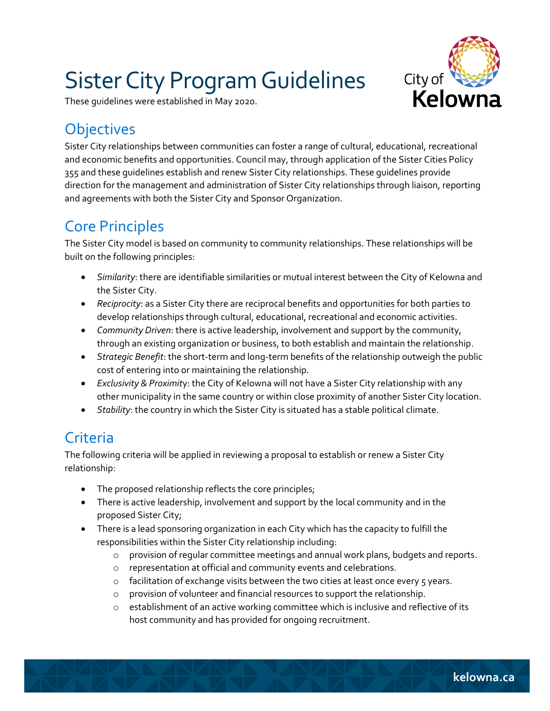# Sister City Program Guidelines



These guidelines were established in May 2020.

# **Objectives**

Sister City relationships between communities can foster a range of cultural, educational, recreational and economic benefits and opportunities. Council may, through application of the Sister Cities Policy 355 and these guidelines establish and renew Sister City relationships. These guidelines provide direction for the management and administration of Sister City relationships through liaison, reporting and agreements with both the Sister City and Sponsor Organization.

# Core Principles

The Sister City model is based on community to community relationships. These relationships will be built on the following principles:

- *Similarity*: there are identifiable similarities or mutual interest between the City of Kelowna and the Sister City.
- *Reciprocity*: as a Sister City there are reciprocal benefits and opportunities for both parties to develop relationships through cultural, educational, recreational and economic activities.
- *Community Driven*: there is active leadership, involvement and support by the community, through an existing organization or business, to both establish and maintain the relationship.
- *Strategic Benefit*: the short-term and long-term benefits of the relationship outweigh the public cost of entering into or maintaining the relationship.
- *Exclusivity & Proximit*y: the City of Kelowna will not have a Sister City relationship with any other municipality in the same country or within close proximity of another Sister City location.
- *Stability*: the country in which the Sister City is situated has a stable political climate.

# **Criteria**

The following criteria will be applied in reviewing a proposal to establish or renew a Sister City relationship:

- The proposed relationship reflects the core principles;
- There is active leadership, involvement and support by the local community and in the proposed Sister City;
- There is a lead sponsoring organization in each City which has the capacity to fulfill the responsibilities within the Sister City relationship including:
	- $\circ$  provision of regular committee meetings and annual work plans, budgets and reports.
	- o representation at official and community events and celebrations.
	- $\circ$  facilitation of exchange visits between the two cities at least once every 5 years.
	- o provision of volunteer and financial resources to support the relationship.
	- $\circ$  establishment of an active working committee which is inclusive and reflective of its host community and has provided for ongoing recruitment.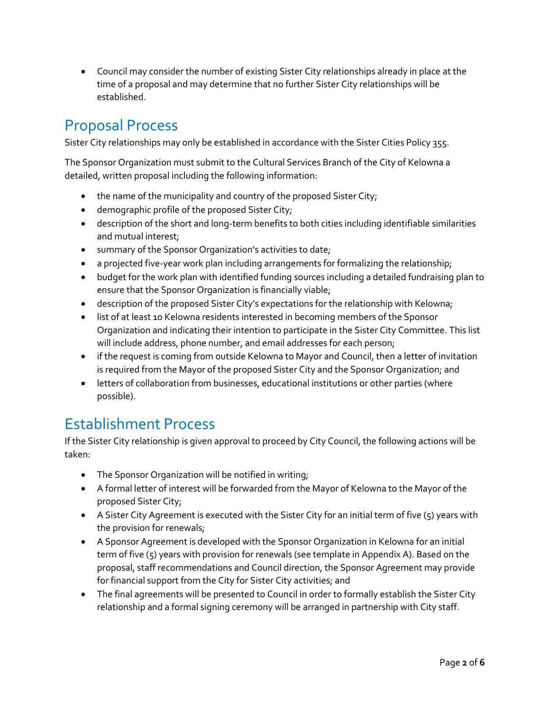Council may consider the number of existing Sister City relationships already in place at the time of a proposal and may determine that no further Sister City relationships will be established.

## Proposal Process

Sister City relationships may only be established in accordance with the Sister Cities Policy 355.

The Sponsor Organization must submit to the Cultural Services Branch of the City of Kelowna a detailed, written proposal including the following information:

- the name of the municipality and country of the proposed Sister City;
- demographic profile of the proposed Sister City;
- description of the short and long-term benefits to both cities including identifiable similarities and mutual interest;
- summary of the Sponsor Organization's activities to date;
- a projected five-year work plan including arrangements for formalizing the relationship;
- budget for the work plan with identified funding sources including a detailed fundraising plan to ensure that the Sponsor Organization is financially viable;
- description of the proposed Sister City's expectations for the relationship with Kelowna;
- list of at least 10 Kelowna residents interested in becoming members of the Sponsor Organization and indicating their intention to participate in the Sister City Committee. This list will include address, phone number, and email addresses for each person;
- if the request is coming from outside Kelowna to Mayor and Council, then a letter of invitation is required from the Mayor of the proposed Sister City and the Sponsor Organization; and
- letters of collaboration from businesses, educational institutions or other parties (where possible).

### Establishment Process

If the Sister City relationship is given approval to proceed by City Council, the following actions will be taken:

- The Sponsor Organization will be notified in writing;
- A formal letter of interest will be forwarded from the Mayor of Kelowna to the Mayor of the proposed Sister City;
- A Sister City Agreement is executed with the Sister City for an initial term of five (5) years with the provision for renewals;
- A Sponsor Agreement is developed with the Sponsor Organization in Kelowna for an initial term of five (5) years with provision for renewals (see template in Appendix A). Based on the proposal, staff recommendations and Council direction, the Sponsor Agreement may provide for financial support from the City for Sister City activities; and
- The final agreements will be presented to Council in order to formally establish the Sister City relationship and a formal signing ceremony will be arranged in partnership with City staff.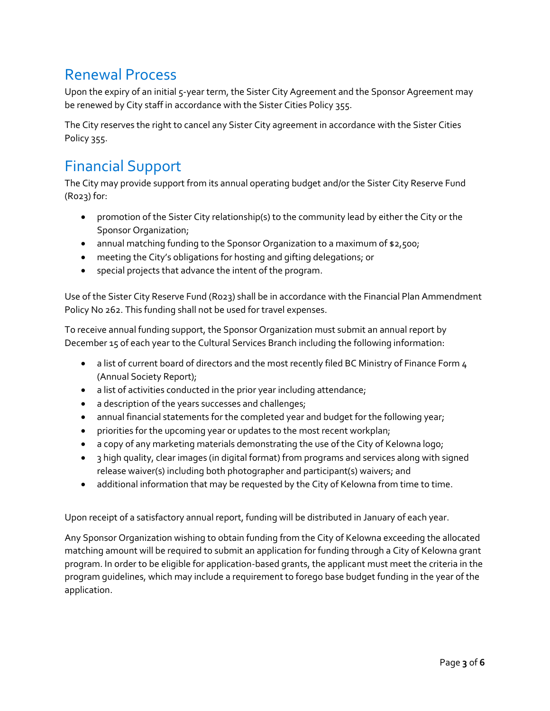### Renewal Process

Upon the expiry of an initial 5-year term, the Sister City Agreement and the Sponsor Agreement may be renewed by City staff in accordance with the Sister Cities Policy 355.

The City reserves the right to cancel any Sister City agreement in accordance with the Sister Cities Policy 355.

# Financial Support

The City may provide support from its annual operating budget and/or the Sister City Reserve Fund (R023) for:

- promotion of the Sister City relationship(s) to the community lead by either the City or the Sponsor Organization;
- annual matching funding to the Sponsor Organization to a maximum of \$2,500;
- meeting the City's obligations for hosting and gifting delegations; or
- special projects that advance the intent of the program.

Use of the Sister City Reserve Fund (R023) shall be in accordance with the Financial Plan Ammendment Policy No 262. This funding shall not be used for travel expenses.

To receive annual funding support, the Sponsor Organization must submit an annual report by December 15 of each year to the Cultural Services Branch including the following information:

- a list of current board of directors and the most recently filed BC Ministry of Finance Form 4 (Annual Society Report);
- a list of activities conducted in the prior year including attendance;
- a description of the years successes and challenges;
- annual financial statements for the completed year and budget for the following year;
- priorities for the upcoming year or updates to the most recent workplan;
- a copy of any marketing materials demonstrating the use of the City of Kelowna logo;
- 3 high quality, clear images (in digital format) from programs and services along with signed release waiver(s) including both photographer and participant(s) waivers; and
- additional information that may be requested by the City of Kelowna from time to time.

Upon receipt of a satisfactory annual report, funding will be distributed in January of each year.

Any Sponsor Organization wishing to obtain funding from the City of Kelowna exceeding the allocated matching amount will be required to submit an application for funding through a City of Kelowna grant program. In order to be eligible for application-based grants, the applicant must meet the criteria in the program guidelines, which may include a requirement to forego base budget funding in the year of the application.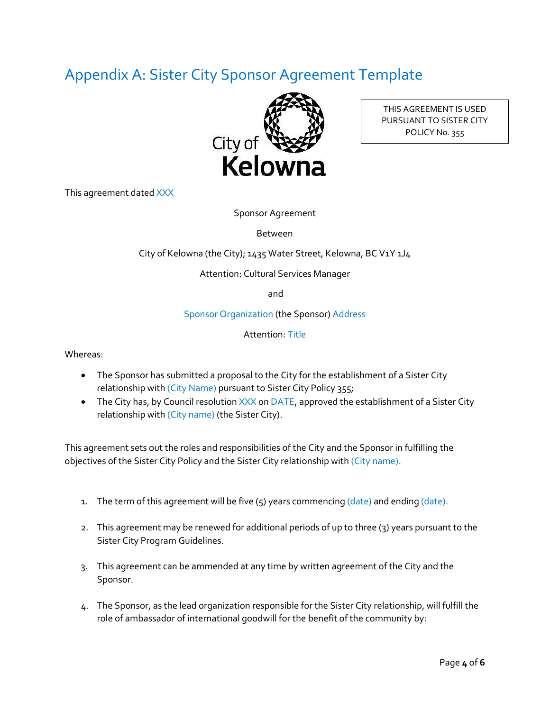# Appendix A: Sister City Sponsor Agreement Template



THIS AGREEMENT IS USED PURSUANT TO SISTER CITY POLICY No. 355

This agreement dated XXX

Sponsor Agreement

Between

City of Kelowna (the City); 1435 Water Street, Kelowna, BC V1Y 1J4

Attention: Cultural Services Manager

and

Sponsor Organization (the Sponsor) Address

Attention: Title

Whereas:

- The Sponsor has submitted a proposal to the City for the establishment of a Sister City relationship with (City Name) pursuant to Sister City Policy 355;
- The City has, by Council resolution  $XXX$  on DATE, approved the establishment of a Sister City relationship with (City name) (the Sister City).

This agreement sets out the roles and responsibilities of the City and the Sponsor in fulfilling the objectives of the Sister City Policy and the Sister City relationship with (City name).

- 1. The term of this agreement will be five  $(5)$  years commencing  $(date)$  and ending  $(date)$ .
- 2. This agreement may be renewed for additional periods of up to three (3) years pursuant to the Sister City Program Guidelines.
- 3. This agreement can be ammended at any time by written agreement of the City and the Sponsor.
- 4. The Sponsor, as the lead organization responsible for the Sister City relationship, will fulfill the role of ambassador of international goodwill for the benefit of the community by: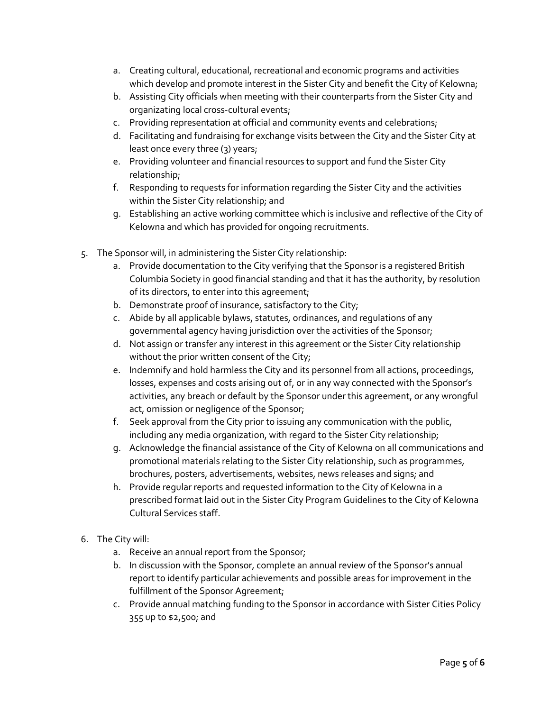- a. Creating cultural, educational, recreational and economic programs and activities which develop and promote interest in the Sister City and benefit the City of Kelowna;
- b. Assisting City officials when meeting with their counterparts from the Sister City and organizating local cross-cultural events;
- c. Providing representation at official and community events and celebrations;
- d. Facilitating and fundraising for exchange visits between the City and the Sister City at least once every three (3) years;
- e. Providing volunteer and financial resources to support and fund the Sister City relationship;
- f. Responding to requests for information regarding the Sister City and the activities within the Sister City relationship; and
- g. Establishing an active working committee which is inclusive and reflective of the City of Kelowna and which has provided for ongoing recruitments.
- 5. The Sponsor will, in administering the Sister City relationship:
	- a. Provide documentation to the City verifying that the Sponsor is a registered British Columbia Society in good financial standing and that it has the authority, by resolution of its directors, to enter into this agreement;
	- b. Demonstrate proof of insurance, satisfactory to the City;
	- c. Abide by all applicable bylaws, statutes, ordinances, and regulations of any governmental agency having jurisdiction over the activities of the Sponsor;
	- d. Not assign or transfer any interest in this agreement or the Sister City relationship without the prior written consent of the City;
	- e. Indemnify and hold harmless the City and its personnel from all actions, proceedings, losses, expenses and costs arising out of, or in any way connected with the Sponsor's activities, any breach or default by the Sponsor under this agreement, or any wrongful act, omission or negligence of the Sponsor;
	- f. Seek approval from the City prior to issuing any communication with the public, including any media organization, with regard to the Sister City relationship;
	- g. Acknowledge the financial assistance of the City of Kelowna on all communications and promotional materials relating to the Sister City relationship, such as programmes, brochures, posters, advertisements, websites, news releases and signs; and
	- h. Provide regular reports and requested information to the City of Kelowna in a prescribed format laid out in the Sister City Program Guidelines to the City of Kelowna Cultural Services staff.
- 6. The City will:
	- a. Receive an annual report from the Sponsor;
	- b. In discussion with the Sponsor, complete an annual review of the Sponsor's annual report to identify particular achievements and possible areas for improvement in the fulfillment of the Sponsor Agreement;
	- c. Provide annual matching funding to the Sponsor in accordance with Sister Cities Policy 355 up to \$2,500; and